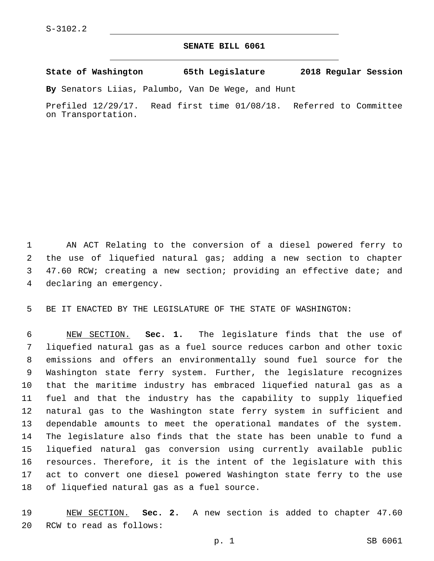## **SENATE BILL 6061**

**State of Washington 65th Legislature 2018 Regular Session**

**By** Senators Liias, Palumbo, Van De Wege, and Hunt

Prefiled 12/29/17. Read first time 01/08/18. Referred to Committee on Transportation.

 AN ACT Relating to the conversion of a diesel powered ferry to the use of liquefied natural gas; adding a new section to chapter 47.60 RCW; creating a new section; providing an effective date; and 4 declaring an emergency.

BE IT ENACTED BY THE LEGISLATURE OF THE STATE OF WASHINGTON:

 NEW SECTION. **Sec. 1.** The legislature finds that the use of liquefied natural gas as a fuel source reduces carbon and other toxic emissions and offers an environmentally sound fuel source for the Washington state ferry system. Further, the legislature recognizes that the maritime industry has embraced liquefied natural gas as a fuel and that the industry has the capability to supply liquefied natural gas to the Washington state ferry system in sufficient and dependable amounts to meet the operational mandates of the system. The legislature also finds that the state has been unable to fund a liquefied natural gas conversion using currently available public resources. Therefore, it is the intent of the legislature with this act to convert one diesel powered Washington state ferry to the use of liquefied natural gas as a fuel source.

 NEW SECTION. **Sec. 2.** A new section is added to chapter 47.60 20 RCW to read as follows: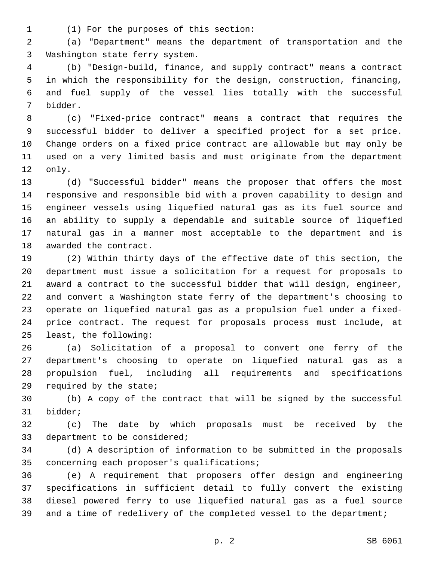(1) For the purposes of this section:1

 (a) "Department" means the department of transportation and the 3 Washington state ferry system.

 (b) "Design-build, finance, and supply contract" means a contract in which the responsibility for the design, construction, financing, and fuel supply of the vessel lies totally with the successful 7 bidder.

 (c) "Fixed-price contract" means a contract that requires the successful bidder to deliver a specified project for a set price. Change orders on a fixed price contract are allowable but may only be used on a very limited basis and must originate from the department 12 only.

 (d) "Successful bidder" means the proposer that offers the most responsive and responsible bid with a proven capability to design and engineer vessels using liquefied natural gas as its fuel source and an ability to supply a dependable and suitable source of liquefied natural gas in a manner most acceptable to the department and is 18 awarded the contract.

 (2) Within thirty days of the effective date of this section, the department must issue a solicitation for a request for proposals to award a contract to the successful bidder that will design, engineer, and convert a Washington state ferry of the department's choosing to operate on liquefied natural gas as a propulsion fuel under a fixed- price contract. The request for proposals process must include, at 25 least, the following:

 (a) Solicitation of a proposal to convert one ferry of the department's choosing to operate on liquefied natural gas as a propulsion fuel, including all requirements and specifications 29 required by the state;

 (b) A copy of the contract that will be signed by the successful 31 bidder;

 (c) The date by which proposals must be received by the 33 department to be considered;

 (d) A description of information to be submitted in the proposals 35 concerning each proposer's qualifications;

 (e) A requirement that proposers offer design and engineering specifications in sufficient detail to fully convert the existing diesel powered ferry to use liquefied natural gas as a fuel source 39 and a time of redelivery of the completed vessel to the department;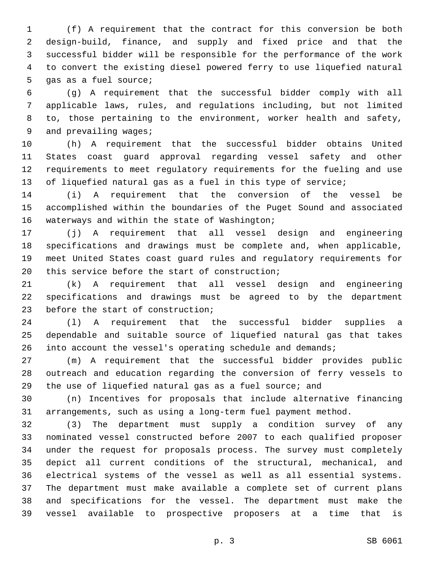(f) A requirement that the contract for this conversion be both design-build, finance, and supply and fixed price and that the successful bidder will be responsible for the performance of the work to convert the existing diesel powered ferry to use liquefied natural 5 qas as a fuel source;

 (g) A requirement that the successful bidder comply with all applicable laws, rules, and regulations including, but not limited to, those pertaining to the environment, worker health and safety, 9 and prevailing wages;

 (h) A requirement that the successful bidder obtains United States coast guard approval regarding vessel safety and other requirements to meet regulatory requirements for the fueling and use of liquefied natural gas as a fuel in this type of service;

 (i) A requirement that the conversion of the vessel be accomplished within the boundaries of the Puget Sound and associated 16 waterways and within the state of Washington;

 (j) A requirement that all vessel design and engineering specifications and drawings must be complete and, when applicable, meet United States coast guard rules and regulatory requirements for 20 this service before the start of construction;

 (k) A requirement that all vessel design and engineering specifications and drawings must be agreed to by the department 23 before the start of construction;

 (l) A requirement that the successful bidder supplies a dependable and suitable source of liquefied natural gas that takes 26 into account the vessel's operating schedule and demands;

 (m) A requirement that the successful bidder provides public outreach and education regarding the conversion of ferry vessels to the use of liquefied natural gas as a fuel source; and

 (n) Incentives for proposals that include alternative financing arrangements, such as using a long-term fuel payment method.

 (3) The department must supply a condition survey of any nominated vessel constructed before 2007 to each qualified proposer under the request for proposals process. The survey must completely depict all current conditions of the structural, mechanical, and electrical systems of the vessel as well as all essential systems. The department must make available a complete set of current plans and specifications for the vessel. The department must make the vessel available to prospective proposers at a time that is